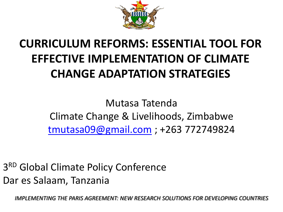

#### **CURRICULUM REFORMS: ESSENTIAL TOOL FOR EFFECTIVE IMPLEMENTATION OF CLIMATE CHANGE ADAPTATION STRATEGIES**

Mutasa Tatenda Climate Change & Livelihoods, Zimbabwe [tmutasa09@gmail.com](mailto:tmutasa09@gmail.com) ; +263 772749824

3RD Global Climate Policy Conference Dar es Salaam, Tanzania

*IMPLEMENTING THE PARIS AGREEMENT: NEW RESEARCH SOLUTIONS FOR DEVELOPING COUNTRIES*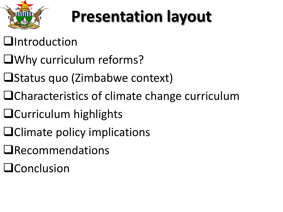

## **Presentation layout**

#### **Q**Introduction

- Why curriculum reforms?
- $\Box$ Status quo (Zimbabwe context)
- ■Characteristics of climate change curriculum
- **Q**Curriculum highlights
- Climate policy implications
- **QRecommendations**
- **QConclusion**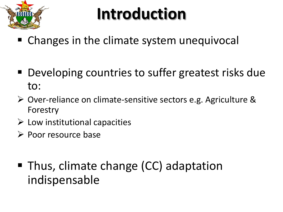

### **Introduction**

- Changes in the climate system unequivocal
- Developing countries to suffer greatest risks due to:
- Over-reliance on climate-sensitive sectors e.g. Agriculture & Forestry
- $\triangleright$  Low institutional capacities
- $\triangleright$  Poor resource base
- Thus, climate change (CC) adaptation indispensable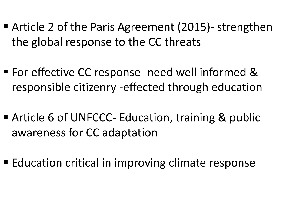- Article 2 of the Paris Agreement (2015)- strengthen the global response to the CC threats
- For effective CC response- need well informed & responsible citizenry -effected through education
- Article 6 of UNFCCC- Education, training & public awareness for CC adaptation
- **Education critical in improving climate response**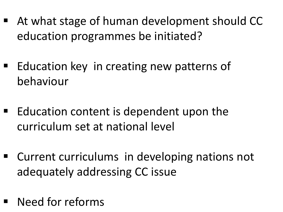- At what stage of human development should CC education programmes be initiated?
- Education key in creating new patterns of behaviour
- $\blacksquare$  Education content is dependent upon the curriculum set at national level
- Current curriculums in developing nations not adequately addressing CC issue
- Need for reforms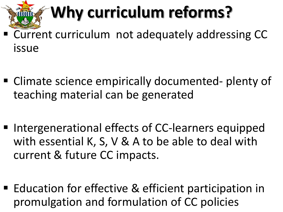## **Why curriculum reforms?**

- Current curriculum not adequately addressing CC issue
- Climate science empirically documented- plenty of teaching material can be generated
- Intergenerational effects of CC-learners equipped with essential K, S, V & A to be able to deal with current & future CC impacts.
- Education for effective & efficient participation in promulgation and formulation of CC policies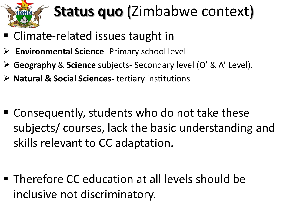

#### **Status quo** (Zimbabwe context)

- Climate-related issues taught in
- **Environmental Science** Primary school level
- **Geography** & **Science** subjects- Secondary level (O' & A' Level).
- **Natural & Social Sciences-** tertiary institutions

■ Consequently, students who do not take these subjects/ courses, lack the basic understanding and skills relevant to CC adaptation.

■ Therefore CC education at all levels should be inclusive not discriminatory.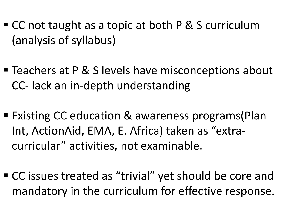- CC not taught as a topic at both P & S curriculum (analysis of syllabus)
- Teachers at P & S levels have misconceptions about CC- lack an in-depth understanding
- Existing CC education & awareness programs(Plan Int, ActionAid, EMA, E. Africa) taken as "extracurricular" activities, not examinable.
- CC issues treated as "trivial" yet should be core and mandatory in the curriculum for effective response.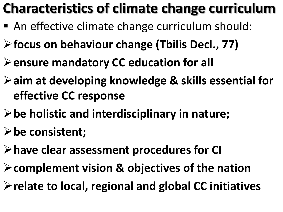#### **Characteristics of climate change curriculum**

- An effective climate change curriculum should:
- **focus on behaviour change (Tbilis Decl., 77)**
- **ensure mandatory CC education for all**
- **aim at developing knowledge & skills essential for effective CC response**
- **be holistic and interdisciplinary in nature;**
- **be consistent;**
- **have clear assessment procedures for CI**
- **complement vision & objectives of the nation**
- **relate to local, regional and global CC initiatives**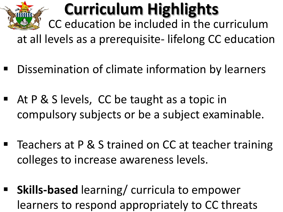

## **Curriculum Highlights**

CC education be included in the curriculum

at all levels as a prerequisite- lifelong CC education

- Dissemination of climate information by learners
- At P & S levels, CC be taught as a topic in compulsory subjects or be a subject examinable.
- Teachers at P & S trained on CC at teacher training colleges to increase awareness levels.
- **Skills-based** learning/ curricula to empower learners to respond appropriately to CC threats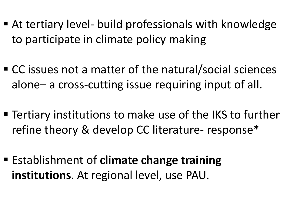- At tertiary level- build professionals with knowledge to participate in climate policy making
- CC issues not a matter of the natural/social sciences alone– a cross-cutting issue requiring input of all.
- Tertiary institutions to make use of the IKS to further refine theory & develop CC literature- response\*
- Establishment of **climate change training institutions**. At regional level, use PAU.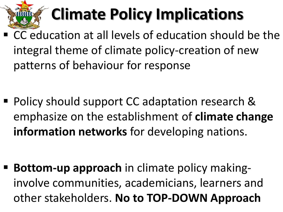

# **Climate Policy Implications**

- CC education at all levels of education should be the integral theme of climate policy-creation of new patterns of behaviour for response
- Policy should support CC adaptation research & emphasize on the establishment of **climate change information networks** for developing nations.

 **Bottom-up approach** in climate policy makinginvolve communities, academicians, learners and other stakeholders. **No to TOP-DOWN Approach**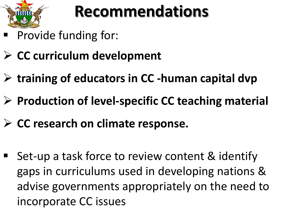

#### **Recommendations**

- Provide funding for:
- **CC curriculum development**
- **training of educators in CC -human capital dvp**
- **Production of level-specific CC teaching material**
- **CC research on climate response.**
- Set-up a task force to review content & identify gaps in curriculums used in developing nations & advise governments appropriately on the need to incorporate CC issues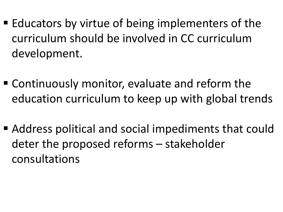- $\blacksquare$  Educators by virtue of being implementers of the curriculum should be involved in CC curriculum development.
- Continuously monitor, evaluate and reform the education curriculum to keep up with global trends
- Address political and social impediments that could deter the proposed reforms – stakeholder consultations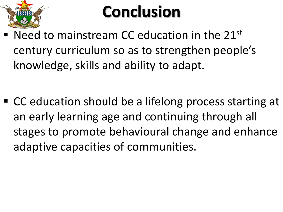

### **Conclusion**

 Need to mainstream CC education in the 21st century curriculum so as to strengthen people's knowledge, skills and ability to adapt.

■ CC education should be a lifelong process starting at an early learning age and continuing through all stages to promote behavioural change and enhance adaptive capacities of communities.